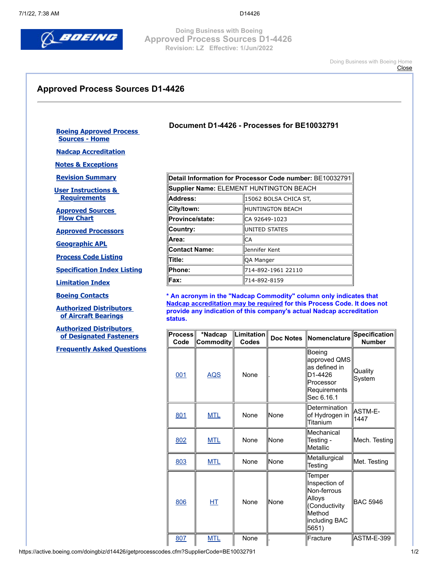

**Document D1-4426 - Processes for BE10032791**

**Doing Business with Boeing Approved Process Sources D1-4426 Revision: LZ Effective: 1/Jun/2022**

> [Doing Business with Boeing Home](http://www.boeingsuppliers.com/) **[Close](javascript:window.close();)**

## **Approved Process Sources D1-4426**

## **[Boeing Approved Process](https://active.boeing.com/doingbiz/d14426/index.cfm)  Sources - Home**

**[Nadcap Accreditation](https://active.boeing.com/doingbiz/d14426/nadcapAcc.cfm)**

**[Notes & Exceptions](https://active.boeing.com/doingbiz/d14426/nadcap.cfm)**

**[Revision Summary](https://active.boeing.com/doingbiz/d14426/revision.cfm)**

**[User Instructions &](https://active.boeing.com/doingbiz/d14426/UserInstProcReq.cfm)  Requirements**

**[Approved Sources](https://active.boeing.com/doingbiz/d14426/ApprovalFlowChart.pdf)  Flow Chart**

**[Approved Processors](https://active.boeing.com/doingbiz/d14426/GetAllProcessors.cfm)**

**[Geographic APL](https://active.boeing.com/doingbiz/d14426/geolocation.cfm)**

**[Process Code Listing](https://active.boeing.com/doingbiz/d14426/ProcessIndex.cfm)**

**[Specification Index Listing](https://active.boeing.com/doingbiz/d14426/specindex.cfm)**

**[Limitation Index](https://active.boeing.com/doingbiz/d14426/limitation.cfm)**

**[Boeing Contacts](https://active.boeing.com/doingbiz/d14426/contacts.cfm)**

**[Authorized Distributors](https://active.boeing.com/doingbiz/d14426/bfmanuf.cfm?Type_cd=B)  [of Aircraft Bearings](https://active.boeing.com/doingbiz/d14426/bfmanuf.cfm?Type_cd=B)**

**[Authorized Distributors](https://active.boeing.com/doingbiz/d14426/bfmanuf.cfm?Type_cd=F)  [of Designated Fasteners](https://active.boeing.com/doingbiz/d14426/bfmanuf.cfm?Type_cd=F)**

**[Frequently Asked Questions](https://active.boeing.com/doingbiz/d14426/faqs.cfm)**

| Detail Information for Processor Code number: BE10032791 |  |  |  |  |  |  |  |
|----------------------------------------------------------|--|--|--|--|--|--|--|
| Supplier Name: ELEMENT HUNTINGTON BEACH                  |  |  |  |  |  |  |  |
| 15062 BOLSA CHICA ST,                                    |  |  |  |  |  |  |  |
| HUNTINGTON BEACH                                         |  |  |  |  |  |  |  |
| ICA 92649-1023                                           |  |  |  |  |  |  |  |
| <b>IUNITED STATES</b>                                    |  |  |  |  |  |  |  |
| CA                                                       |  |  |  |  |  |  |  |
| Jennifer Kent                                            |  |  |  |  |  |  |  |
| QA Manger                                                |  |  |  |  |  |  |  |
| 714-892-1961 22110                                       |  |  |  |  |  |  |  |
| 714-892-8159                                             |  |  |  |  |  |  |  |
|                                                          |  |  |  |  |  |  |  |

**\* An acronym in the "Nadcap Commodity" column only indicates that Nadcap accreditation may be required for this Process Code. It does not provide any indication of this company's actual Nadcap accreditation status.**

| Code | *Nadcap<br>$\mathsf{Commodity}\ $ | $\ $ Limitation $\ $<br><b>Codes</b> | Doc Notes   | Nomenclature                                                                                          | <b>Specification</b><br><b>Number</b> |
|------|-----------------------------------|--------------------------------------|-------------|-------------------------------------------------------------------------------------------------------|---------------------------------------|
| 001  | <b>AQS</b>                        | None                                 |             | Boeing<br>approved QMS<br>as defined in<br>D1-4426<br>Processor<br>Requirements<br>Sec 6.16.1         | Quality<br>System                     |
| 801  | <b>MTL</b>                        | None                                 | lNone       | Determination<br>of Hydrogen in<br>Titanium                                                           | ASTM-E-<br>1447                       |
| 802  | <b>MTL</b>                        | None                                 | None        | Mechanical<br>Testing -<br>Metallic                                                                   | Mech. Testing                         |
| 803  | <b>MTL</b>                        | None                                 | <b>None</b> | Metallurgical<br>Testing                                                                              | Met. Testing                          |
| 806  | HT                                | None                                 | None        | Temper<br>Inspection of<br>Non-ferrous<br>Alloys<br>(Conductivity<br>Method<br>including BAC<br>5651) | <b>BAC 5946</b>                       |
| 807  | <b>MTL</b>                        | None                                 |             | Fracture                                                                                              | ASTM-E-399                            |